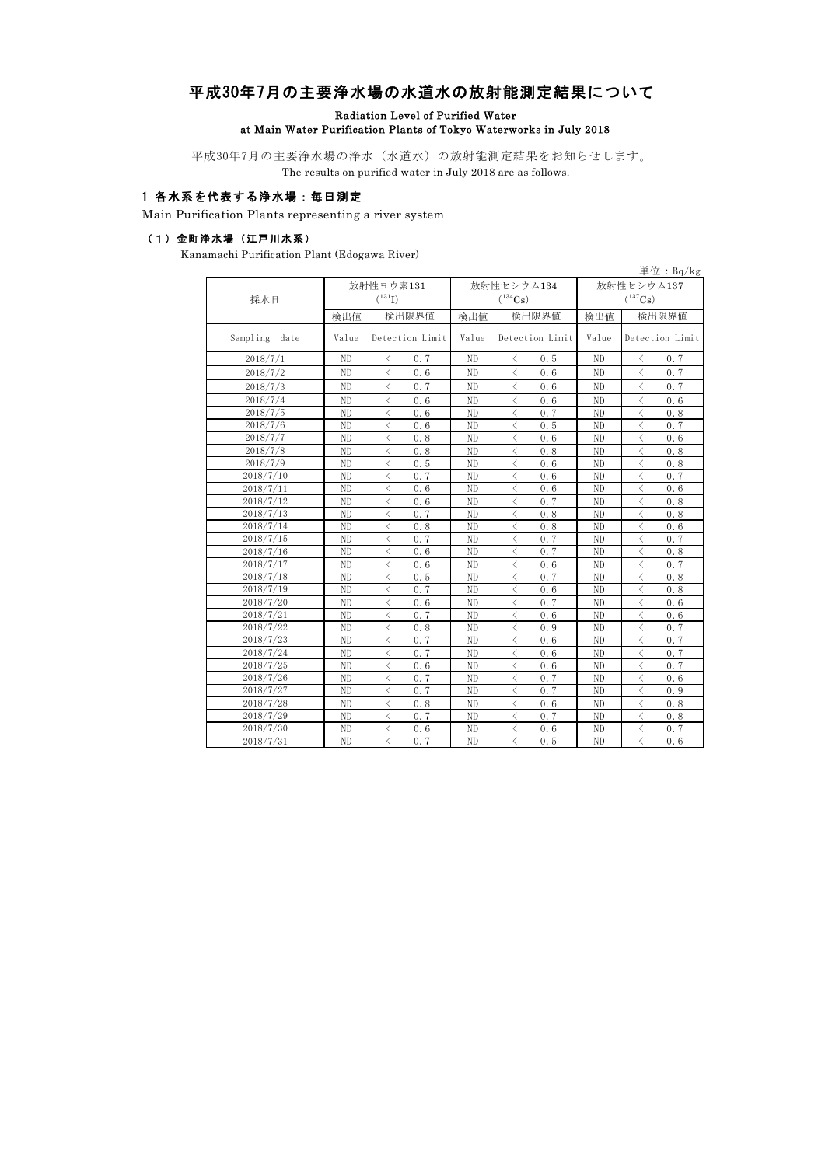# 平成30年7月の主要浄水場の水道水の放射能測定結果について

Radiation Level of Purified Water

### at Main Water Purification Plants of Tokyo Waterworks in July 2018

平成30年7月の主要浄水場の浄水(水道水)の放射能測定結果をお知らせします。 The results on purified water in July 2018 are as follows.

### 1 各水系を代表する浄水場:毎日測定

Main Purification Plants representing a river system

### (1)金町浄水場(江戸川水系)

Kanamachi Purification Plant (Edogawa River)

|                  |                |                                                 |                |                                                 |                | 単位: $Bq/kg$                                     |  |
|------------------|----------------|-------------------------------------------------|----------------|-------------------------------------------------|----------------|-------------------------------------------------|--|
|                  |                | 放射性ヨウ素131                                       |                | 放射性セシウム134                                      | 放射性セシウム137     |                                                 |  |
| 採水日              |                | $(^{131}I)$                                     |                | $(^{134}Cs)$                                    |                | $(^{137}Cs)$                                    |  |
|                  | 検出値            | 検出限界値                                           | 検出値            | 検出限界値                                           | 検出値            | 検出限界値                                           |  |
| Sampling<br>date | Value          | Detection Limit                                 | Value          | Detection Limit                                 | Value          | Detection Limit                                 |  |
| 2018/7/1         | ND             | 0.7<br>⟨                                        | ND             | 0.5<br>$\langle$                                | ND             | 0.7<br>$\langle$                                |  |
| 2018/7/2         | N <sub>D</sub> | $\langle$<br>0.6                                | ND             | $\langle$<br>0.6                                | ND             | $\langle$<br>0.7                                |  |
| 2018/7/3         | ND             | $\langle$<br>0.7                                | ND             | $\langle$<br>0.6                                | ND             | $\lt$<br>0.7                                    |  |
| 2018/7/4         | N <sub>D</sub> | $\langle$<br>0.6                                | ND             | $\langle$<br>0.6                                | N <sub>D</sub> | $\overline{\left\langle \right\rangle }$<br>0.6 |  |
| 2018/7/5         | ND             | $\langle$<br>0.6                                | ND             | $\lt$<br>0.7                                    | N <sub>D</sub> | $\overline{\left\langle \right\rangle }$<br>0.8 |  |
| 2018/7/6         | ND             | $\overline{\left\langle \right\rangle }$<br>0.6 | ND             | $\langle$<br>0.5                                | N <sub>D</sub> | $\overline{\left\langle \right\rangle }$<br>0.7 |  |
| 2018/7/7         | ND             | $\overline{\left\langle \right\rangle }$<br>0.8 | ND             | $\overline{\left\langle \right\rangle }$<br>0.6 | N <sub>D</sub> | $\overline{\left\langle \right\rangle }$<br>0.6 |  |
| 2018/7/8         | ND             | $\overline{\left\langle \right\rangle }$<br>0.8 | N <sub>D</sub> | $\overline{\left\langle \right\rangle }$<br>0.8 | N <sub>D</sub> | $\overline{\left\langle \right\rangle }$<br>0.8 |  |
| 2018/7/9         | ND             | $\langle$<br>0.5                                | N <sub>D</sub> | $\langle$<br>0.6                                | N <sub>D</sub> | $\lt$<br>0.8                                    |  |
| 2018/7/10        | N <sub>D</sub> | $\langle$<br>0.7                                | N <sub>D</sub> | $\lt$<br>0.6                                    | N <sub>D</sub> | $\langle$<br>0.7                                |  |
| 2018/7/11        | ND             | $\langle$<br>0.6                                | N <sub>D</sub> | $\lt$<br>0.6                                    | ND             | $\langle$<br>0.6                                |  |
| 2018/7/12        | N <sub>D</sub> | $\langle$<br>0.6                                | N <sub>D</sub> | $\langle$<br>0.7                                | ND             | $\lt$<br>0.8                                    |  |
| 2018/7/13        | ND             | $\langle$<br>0.7                                | N <sub>D</sub> | $\langle$<br>0.8                                | N <sub>D</sub> | $\langle$<br>0.8                                |  |
| 2018/7/14        | ND             | $\langle$<br>0.8                                | ND             | $\langle$<br>0.8                                | ND             | $\lt$<br>0, 6                                   |  |
| 2018/7/15        | ND             | $\langle$<br>0.7                                | ND             | $\langle$<br>0.7                                | ND             | $\langle$<br>0.7                                |  |
| 2018/7/16        | N <sub>D</sub> | $\lt$<br>0.6                                    | N <sub>D</sub> | $\langle$<br>0.7                                | ND             | $\lt$<br>0.8                                    |  |
| 2018/7/17        | ND             | $\langle$<br>0.6                                | N <sub>D</sub> | $\langle$<br>0.6                                | ND             | $\overline{\left\langle \right\rangle }$<br>0.7 |  |
| 2018/7/18        | ND             | $\langle$<br>0.5                                | ND             | $\langle$<br>0.7                                | ND             | $\langle$<br>0.8                                |  |
| 2018/7/19        | N <sub>D</sub> | 0.7<br>$\langle$                                | N <sub>D</sub> | $\langle$<br>0.6                                | ND             | $\langle$<br>0.8                                |  |
| 2018/7/20        | N <sub>D</sub> | $\langle$<br>0.6                                | N <sub>D</sub> | 0.7<br>$\langle$                                | ND             | $\lt$<br>0, 6                                   |  |
| 2018/7/21        | ND             | $\langle$<br>0.7                                | N <sub>D</sub> | $\lt$<br>0.6                                    | ND             | $\lt$<br>0.6                                    |  |
| 2018/7/22        | ND             | $\langle$<br>0.8                                | ND             | $\langle$<br>0.9                                | ND             | $\lt$<br>0, 7                                   |  |
| 2018/7/23        | ND             | $\langle$<br>0.7                                | ND             | $\lt$<br>0.6                                    | ND             | $\lt$<br>0, 7                                   |  |
| 2018/7/24        | ND             | $\langle$<br>0.7                                | ND             | $\lt$<br>0.6                                    | ND             | $\lt$<br>0.7                                    |  |
| 2018/7/25        | ND             | $\langle$<br>0.6                                | ND             | $\lt$<br>0.6                                    | N <sub>D</sub> | $\lt$<br>0.7                                    |  |
| 2018/7/26        | ND             | $\langle$<br>0.7                                | ND             | $\langle$<br>0.7                                | N <sub>D</sub> | $\langle$<br>0.6                                |  |
| 2018/7/27        | ND             | $\langle$<br>0.7                                | ND             | $\langle$<br>0.7                                | ND             | $\lt$<br>0.9                                    |  |
| 2018/7/28        | ND             | $\langle$<br>0.8                                | N <sub>D</sub> | $\langle$<br>0.6                                | N <sub>D</sub> | $\langle$<br>0.8                                |  |
| 2018/7/29        | ND             | $\langle$<br>0.7                                | N <sub>D</sub> | $\langle$<br>0.7                                | ND             | $\lt$<br>0.8                                    |  |
| 2018/7/30        | ND             | $\langle$<br>0.6                                | ND             | $\langle$<br>0.6                                | ND             | $\langle$<br>0, 7                               |  |
| 2018/7/31        | ND             | $\langle$<br>0.7                                | N <sub>D</sub> | $\langle$<br>0.5                                | ND             | $\langle$<br>0.6                                |  |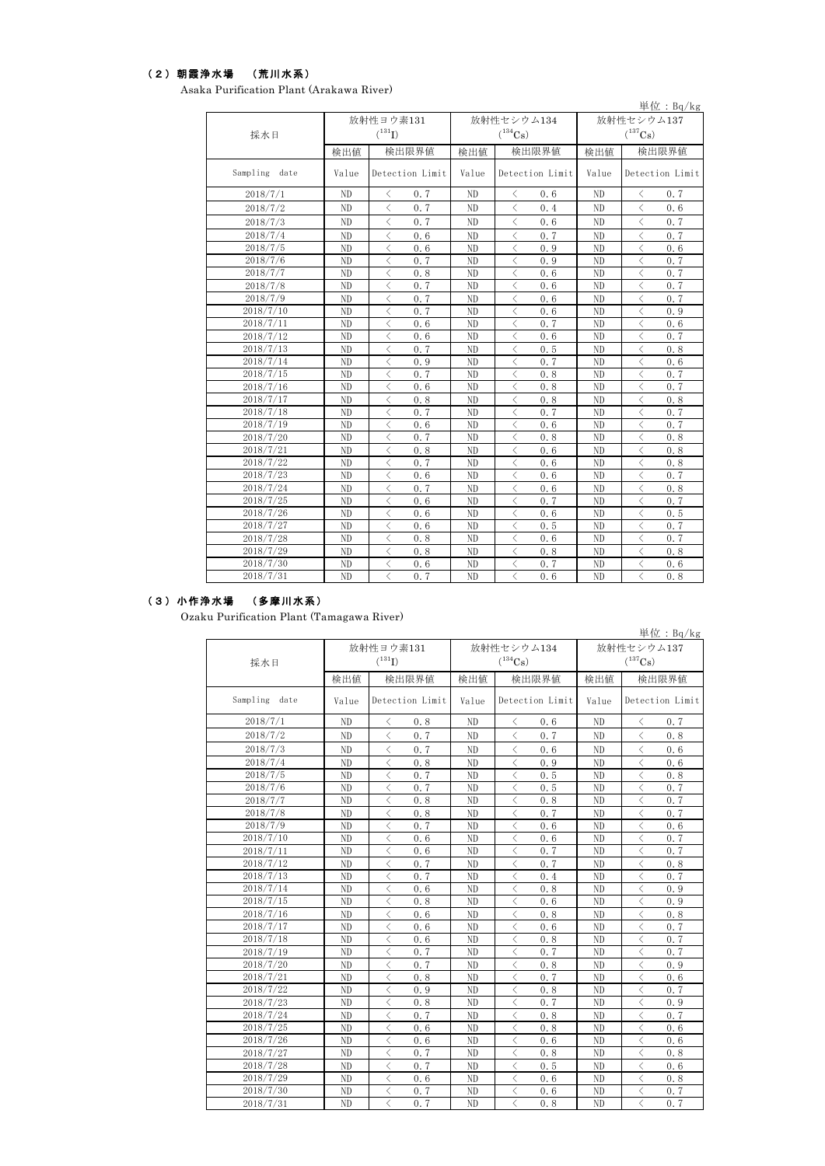#### (2)朝霞浄水場 (荒川水系)

Asaka Purification Plant (Arakawa River)

|               |                |                                                 |                |                                                  |                | 単位: $Bq/kg$                                     |  |
|---------------|----------------|-------------------------------------------------|----------------|--------------------------------------------------|----------------|-------------------------------------------------|--|
|               |                | 放射性ヨウ素131                                       |                | 放射性セシウム134                                       | 放射性セシウム137     |                                                 |  |
| 採水日           |                | $(^{131}I)$                                     |                | $(^{134}Cs)$                                     |                | $(^{137}Cs)$                                    |  |
|               | 検出値            | 検出限界値                                           | 検出値            | 検出限界値                                            | 検出値            | 検出限界値                                           |  |
| Sampling date | Value          | Detection Limit                                 | Value          | Detection Limit                                  | Value          | Detection Limit                                 |  |
| 2018/7/1      | N <sub>D</sub> | $\langle$<br>0.7                                | ND             | $\langle$<br>0.6                                 | N <sub>D</sub> | $\lt$<br>0, 7                                   |  |
| 2018/7/2      | N <sub>D</sub> | $\langle$<br>0.7                                | N <sub>D</sub> | $\langle$<br>0.4                                 | N <sub>D</sub> | $\langle$<br>0.6                                |  |
| 2018/7/3      | N <sub>D</sub> | $\langle$<br>0.7                                | ND             | $\lt$<br>0.6                                     | ND             | $\langle$<br>0.7                                |  |
| 2018/7/4      | ND             | $\langle$<br>0.6                                | ND             | $\lt$<br>0.7                                     | N <sub>D</sub> | $\overline{\left\langle \right\rangle }$<br>0.7 |  |
| 2018/7/5      | ND             | $\overline{\left\langle \right\rangle }$<br>0.6 | ND             | $\lt$<br>0.9                                     | N <sub>D</sub> | $\overline{\left\langle \right\rangle }$<br>0.6 |  |
| 2018/7/6      | N <sub>D</sub> | $\overline{\left\langle \right\rangle }$<br>0.7 | ND             | $\langle$<br>0.9                                 | N <sub>D</sub> | $\overline{\left\langle \right\rangle }$<br>0.7 |  |
| 2018/7/7      | ND             | $\overline{\left\langle \right\rangle }$<br>0.8 | ND             | $\langle$<br>0.6                                 | N <sub>D</sub> | $\langle$<br>0.7                                |  |
| 2018/7/8      | ND             | $\langle$<br>0.7                                | ND             | $\langle$<br>0.6                                 | N <sub>D</sub> | $\overline{\left\langle \right\rangle }$<br>0.7 |  |
| 2018/7/9      | N <sub>D</sub> | $\langle$<br>0.7                                | ND             | $\lt$<br>0.6                                     | N <sub>D</sub> | $\langle$<br>0.7                                |  |
| 2018/7/10     | N <sub>D</sub> | $\langle$<br>0.7                                | ND             | $\lt$<br>0.6                                     | N <sub>D</sub> | $\langle$<br>0.9                                |  |
| 2018/7/11     | N <sub>D</sub> | $\langle$<br>0.6                                | ND             | 0.7<br>$\langle$                                 | N <sub>D</sub> | $\langle$<br>0.6                                |  |
| 2018/7/12     | N <sub>D</sub> | $\langle$<br>0.6                                | N <sub>D</sub> | $\lt$<br>0.6                                     | N <sub>D</sub> | $\lt$<br>0.7                                    |  |
| 2018/7/13     | N <sub>D</sub> | $\langle$<br>0.7                                | ND             | $\langle$<br>0.5                                 | N <sub>D</sub> | $\langle$<br>0.8                                |  |
| 2018/7/14     | N <sub>D</sub> | $\langle$<br>0.9                                | ND             | 0.7<br>$\langle$                                 | N <sub>D</sub> | $\langle$<br>0.6                                |  |
| 2018/7/15     | N <sub>D</sub> | 0.7<br>$\langle$                                | ND             | $\langle$<br>0.8                                 | ND             | $\lt$<br>0.7                                    |  |
| 2018/7/16     | N <sub>D</sub> | 0.6<br>$\langle$                                | ND             | $\langle$<br>0.8                                 | ND             | $\langle$<br>0.7                                |  |
| 2018/7/17     | N <sub>D</sub> | $\langle$<br>0.8                                | ND             | $\lt$<br>0.8                                     | ND             | $\langle$<br>0.8                                |  |
| 2018/7/18     | N <sub>D</sub> | $\langle$<br>0.7                                | ND             | 0.7<br>$\langle$                                 | ND             | $\langle$<br>0.7                                |  |
| 2018/7/19     | ND             | $\langle$<br>0.6                                | ND             | 0.6<br>$\lt$                                     | ND             | $\langle$<br>0, 7                               |  |
| 2018/7/20     | ND             | $\langle$<br>0.7                                | ND             | $\lt$<br>0.8                                     | ND             | $\lt$<br>0.8                                    |  |
| 2018/7/21     | ND             | $\langle$<br>0.8                                | ND             | $\langle$<br>0.6                                 | N <sub>D</sub> | $\lt$<br>0.8                                    |  |
| 2018/7/22     | ND             | $\lt$<br>0.7                                    | ND             | $\langle$<br>0.6                                 | ND             | $\langle$<br>0.8                                |  |
| 2018/7/23     | ND             | $\langle$<br>0.6                                | ND             | $\langle$<br>0.6                                 | N <sub>D</sub> | $\overline{\left\langle \right\rangle }$<br>0.7 |  |
| 2018/7/24     | ND             | $\langle$<br>0.7                                | ND             | 0.6<br>ぐ                                         | N <sub>D</sub> | $\langle$<br>0, 8                               |  |
| 2018/7/25     | ND             | $\langle$<br>0.6                                | ND             | $\lt$<br>0.7                                     | N <sub>D</sub> | $\langle$<br>0.7                                |  |
| 2018/7/26     | ND             | $\langle$<br>0.6                                | ND             | $\langle$<br>0.6                                 | ND             | $\langle$<br>0.5                                |  |
| 2018/7/27     | ND             | $\langle$<br>0.6                                | ND             | $\lt$<br>0.5                                     | ND             | $\lt$<br>0, 7                                   |  |
| 2018/7/28     | ND             | $\langle$<br>0.8                                | ND             | $\langle$<br>0.6                                 | N <sub>D</sub> | $\langle$<br>0.7                                |  |
| 2018/7/29     | N <sub>D</sub> | $\langle$<br>0.8                                | ND             | $\langle$<br>0.8                                 | ND             | $\langle$<br>0.8                                |  |
| 2018/7/30     | ND             | $\lt$<br>0.6                                    | ND             | $\langle$<br>0.7                                 | ND             | $\langle$<br>0.6                                |  |
| 2018/7/31     | N <sub>D</sub> | $\overline{\left\langle \right\rangle }$<br>0.7 | N <sub>D</sub> | 0, 6<br>$\overline{\left\langle \right\rangle }$ | N <sub>D</sub> | $\overline{\left\langle \right\rangle }$<br>0.8 |  |

## (3)小作浄水場 (多摩川水系)

Ozaku Purification Plant (Tamagawa River)

|                  |                          | 放射性ヨウ素131                                       |                | 放射性セシウム134       | 単位: $Bq/kg$<br>放射性セシウム137 |                                                 |  |  |
|------------------|--------------------------|-------------------------------------------------|----------------|------------------|---------------------------|-------------------------------------------------|--|--|
| 採水日              |                          | $(^{131}I)$                                     |                | $(^{134}Cs)$     | $(^{137}\mathrm{Cs})$     |                                                 |  |  |
|                  | 検出値                      | 検出限界値<br>検出値                                    |                | 検出限界値            | 検出値                       | 検出限界値                                           |  |  |
| Sampling<br>date | Detection Limit<br>Value |                                                 | Value          | Detection Limit  | Value                     | Detection Limit                                 |  |  |
| 2018/7/1         | ND                       | 0.8<br>✓                                        | N <sub>D</sub> | $\langle$<br>0.6 | ND.                       | 0, 7<br>く                                       |  |  |
| 2018/7/2         | ND                       | $\langle$<br>0.7                                | ND.            | $\langle$<br>0.7 | ND                        | $\langle$<br>0.8                                |  |  |
| 2018/7/3         | ND                       | $\langle$<br>0.7                                | ND             | $\langle$<br>0.6 | ND                        | $\langle$<br>0.6                                |  |  |
| 2018/7/4         | ND                       | $\overline{\left\langle \right\rangle }$<br>0.8 | ND             | $\langle$<br>0.9 | ND                        | $\langle$<br>0.6                                |  |  |
| 2018/7/5         | N <sub>D</sub>           | $\langle$<br>0.7                                | N <sub>D</sub> | $\langle$<br>0.5 | ND                        | $\langle$<br>0.8                                |  |  |
| 2018/7/6         | ND                       | $\langle$<br>0.7                                | ND             | $\langle$<br>0.5 | ND                        | $\lt$<br>0, 7                                   |  |  |
| 2018/7/7         | ND                       | $\langle$<br>0.8                                | ND             | $\langle$<br>0.8 | ND                        | $\langle$<br>0, 7                               |  |  |
| 2018/7/8         | ND                       | $\langle$<br>0.8                                | ND             | $\langle$<br>0.7 | ND                        | $\langle$<br>0.7                                |  |  |
| 2018/7/9         | ND                       | $\langle$<br>0.7                                | N <sub>D</sub> | $\langle$<br>0.6 | ND                        | ⟨<br>0.6                                        |  |  |
| 2018/7/10        | ND                       | $\langle$<br>0.6                                | ND             | $\langle$<br>0.6 | ND                        | $\langle$<br>0, 7                               |  |  |
| 2018/7/11        | ND                       | ぐ<br>0.6                                        | ND             | ⟨<br>0.7         | ND                        | $\lt$<br>0, 7                                   |  |  |
| 2018/7/12        | ND                       | $\langle$<br>0.7                                | ND             | $\langle$<br>0.7 | ND                        | $\langle$<br>0.8                                |  |  |
| 2018/7/13        | N <sub>D</sub>           | $\langle$<br>0.7                                | ND             | $\langle$<br>0.4 | ND                        | $\lt$<br>0.7                                    |  |  |
| 2018/7/14        | ND                       | $\langle$<br>0.6                                | ND             | $\langle$<br>0.8 | ND                        | $\lt$<br>0.9                                    |  |  |
| 2018/7/15        | N <sub>D</sub>           | $\langle$<br>0.8                                | ND             | $\langle$<br>0.6 | ND                        | $\lt$<br>0.9                                    |  |  |
| 2018/7/16        | N <sub>D</sub>           | $\langle$<br>0.6                                | N <sub>D</sub> | $\lt$<br>0.8     | N <sub>D</sub>            | $\lt$<br>0.8                                    |  |  |
| 2018/7/17        | N <sub>D</sub>           | $\langle$<br>0.6                                | N <sub>D</sub> | $\langle$<br>0.6 | N <sub>D</sub>            | $\lt$<br>0.7                                    |  |  |
| 2018/7/18        | ND                       | $\langle$<br>0.6                                | ND             | $\langle$<br>0.8 | ND                        | $\overline{\left\langle \right\rangle }$<br>0.7 |  |  |
| 2018/7/19        | ND                       | $\langle$<br>0.7                                | ND             | $\langle$<br>0.7 | ND                        | $\overline{\left\langle \right\rangle }$<br>0.7 |  |  |
| 2018/7/20        | N <sub>D</sub>           | $\langle$<br>0.7                                | ND             | $\langle$<br>0.8 | ND                        | $\langle$<br>0.9                                |  |  |
| 2018/7/21        | ND                       | $\overline{\left\langle \right\rangle }$<br>0.8 | ND             | $\lt$<br>0.7     | ND                        | $\langle$<br>0.6                                |  |  |
| 2018/7/22        | ND                       | $\overline{\left\langle \right\rangle }$<br>0.9 | N <sub>D</sub> | $\langle$<br>0.8 | ND                        | $\lt$<br>0.7                                    |  |  |
| 2018/7/23        | N <sub>D</sub>           | $\langle$<br>0.8                                | N <sub>D</sub> | $\langle$<br>0.7 | ND                        | $\langle$<br>0.9                                |  |  |
| 2018/7/24        | ND                       | $\langle$<br>0.7                                | ND             | $\langle$<br>0.8 | ND                        | $\langle$<br>0.7                                |  |  |
| 2018/7/25        | ND                       | ぐ<br>0.6                                        | ND             | $\langle$<br>0.8 | ND                        | ⟨<br>0.6                                        |  |  |
| 2018/7/26        | ND                       | $\langle$<br>0.6                                | ND             | $\lt$<br>0.6     | ND                        | $\langle$<br>0.6                                |  |  |
| 2018/7/27        | ND                       | $\langle$<br>0.7                                | ND             | $\lt$<br>0.8     | ND                        | $\langle$<br>0.8                                |  |  |
| 2018/7/28        | ND                       | $\langle$<br>0.7                                | ND             | $\lt$<br>0.5     | ND                        | $\lt$<br>0.6                                    |  |  |
| 2018/7/29        | ND                       | $\langle$<br>0.6                                | ND             | $\langle$<br>0.6 | ND                        | $\lt$<br>0.8                                    |  |  |
| 2018/7/30        | ND                       | $\langle$<br>0.7                                | ND             | く<br>0.6         | ND                        | $\langle$<br>0.7                                |  |  |
| 2018/7/31        | N <sub>D</sub>           | $\langle$<br>0.7                                | N <sub>D</sub> | $\langle$<br>0.8 | N <sub>D</sub>            | $\langle$<br>0.7                                |  |  |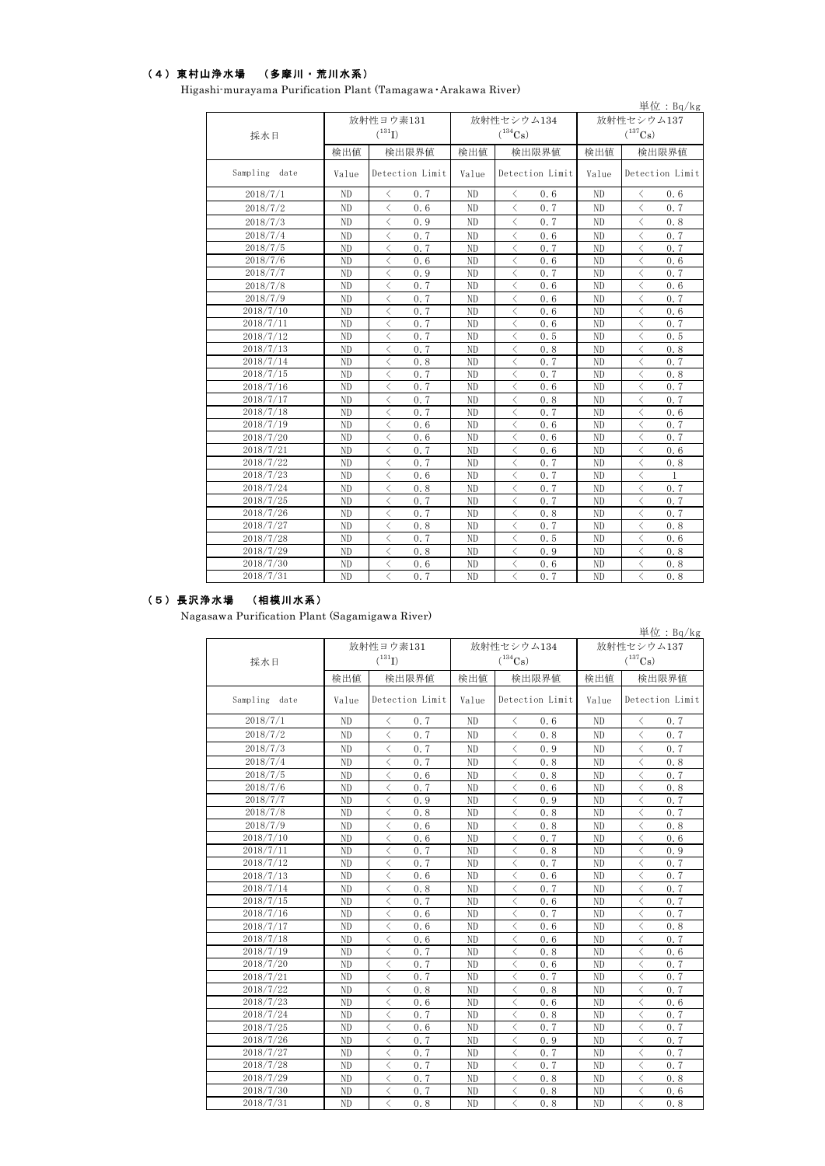## (4)東村山浄水場 (多摩川・荒川水系)

|                  |                |                                                 |                |                                                 |                       | 単位: $Bq/kg$                                     |  |  |
|------------------|----------------|-------------------------------------------------|----------------|-------------------------------------------------|-----------------------|-------------------------------------------------|--|--|
|                  |                | 放射性ヨウ素131                                       |                | 放射性セシウム134                                      | 放射性セシウム137            |                                                 |  |  |
| 採水日              |                | $(^{131}I)$                                     |                | $(^{134}Cs)$                                    | $(^{137}\mathrm{Cs})$ |                                                 |  |  |
|                  | 検出値            | 検出限界値                                           | 検出値            | 検出限界値                                           | 検出値                   | 検出限界値                                           |  |  |
| Sampling<br>date | Value          | Detection Limit                                 | Value          | Detection Limit                                 | Value                 | Detection Limit                                 |  |  |
| 2018/7/1         | ND             | 0.7<br>≺                                        | ND             | 0.6<br>$\langle$                                | ND                    | 0.6<br>⟨                                        |  |  |
| 2018/7/2         | N <sub>D</sub> | $\langle$<br>0.6                                | ND             | $\langle$<br>0.7                                | ND                    | $\langle$<br>0.7                                |  |  |
| 2018/7/3         | N <sub>D</sub> | $\langle$<br>0.9                                | N <sub>D</sub> | $\langle$<br>0.7                                | ND                    | $\langle$<br>0.8                                |  |  |
| 2018/7/4         | ND             | $\langle$<br>0.7                                | ND             | $\langle$<br>0.6                                | ND                    | $\lt$<br>0.7                                    |  |  |
| 2018/7/5         | N <sub>D</sub> | $\langle$<br>0.7                                | N <sub>D</sub> | $\langle$<br>0.7                                | ND                    | $\lt$<br>0.7                                    |  |  |
| 2018/7/6         | N <sub>D</sub> | $\langle$<br>0.6                                | ND             | $\langle$<br>0.6                                | ND                    | $\lt$<br>0.6                                    |  |  |
| 2018/7/7         | N <sub>D</sub> | 0.9<br>く                                        | ND             | 0.7<br>$\langle$                                | ND                    | く<br>0.7                                        |  |  |
| 2018/7/8         | ND             | 0.7<br>⟨                                        | N <sub>D</sub> | $\langle$<br>0.6                                | ND                    | $\langle$<br>0.6                                |  |  |
| 2018/7/9         | ND             | ⟨<br>0.7                                        | N <sub>D</sub> | ぐ<br>0.6                                        | ND                    | $\lt$<br>0.7                                    |  |  |
| 2018/7/10        | ND             | $\langle$<br>0.7                                | N <sub>D</sub> | $\lt$<br>0.6                                    | ND                    | $\langle$<br>0.6                                |  |  |
| 2018/7/11        | N <sub>D</sub> | $\langle$<br>0.7                                | ND             | $\langle$<br>0.6                                | ND                    | $\lt$<br>0.7                                    |  |  |
| 2018/7/12        | ND             | $\langle$<br>0.7                                | N <sub>D</sub> | $\langle$<br>0.5                                | ND                    | $\langle$<br>0.5                                |  |  |
| 2018/7/13        | ND             | $\langle$<br>0.7                                | ND             | $\langle$<br>0.8                                | N <sub>D</sub>        | $\langle$<br>0.8                                |  |  |
| 2018/7/14        | ND             | 0.8<br>$\langle$                                | ND             | 0.7<br>$\langle$                                | N <sub>D</sub>        | $\langle$<br>0.7                                |  |  |
| 2018/7/15        | N <sub>D</sub> | $\langle$<br>0.7                                | ND             | 0.7<br>$\langle$                                | N <sub>D</sub>        | $\langle$<br>0.8                                |  |  |
| 2018/7/16        | ND             | $\overline{\left\langle \right\rangle }$<br>0.7 | N <sub>D</sub> | $\langle$<br>0.6                                | ND                    | $\overline{\left\langle \right\rangle }$<br>0.7 |  |  |
| 2018/7/17        | N <sub>D</sub> | $\langle$<br>0.7                                | N <sub>D</sub> | $\langle$<br>0.8                                | N <sub>D</sub>        | $\langle$<br>0.7                                |  |  |
| 2018/7/18        | N <sub>D</sub> | $\langle$<br>0.7                                | N <sub>D</sub> | $\lt$<br>0.7                                    | ND                    | $\lt$<br>0.6                                    |  |  |
| 2018/7/19        | N <sub>D</sub> | $\langle$<br>0.6                                | N <sub>D</sub> | $\langle$<br>0.6                                | ND                    | $\langle$<br>0.7                                |  |  |
| 2018/7/20        | N <sub>D</sub> | 0.6<br>$\langle$                                | N <sub>D</sub> | $\langle$<br>0.6                                | ND                    | $\lt$<br>0.7                                    |  |  |
| 2018/7/21        | N <sub>D</sub> | $\langle$<br>0.7                                | ND             | $\langle$<br>0.6                                | ND                    | $\langle$<br>0.6                                |  |  |
| 2018/7/22        | ND             | $\langle$<br>0.7                                | N <sub>D</sub> | $\langle$<br>0.7                                | ND                    | $\lt$<br>0.8                                    |  |  |
| 2018/7/23        | ND             | ⟨<br>0.6                                        | N <sub>D</sub> | $\langle$<br>0.7                                | ND                    | $\lt$<br>1                                      |  |  |
| 2018/7/24        | ND             | $\langle$<br>0.8                                | N <sub>D</sub> | $\langle$<br>0.7                                | ND                    | $\lt$<br>0, 7                                   |  |  |
| 2018/7/25        | ND             | $\langle$<br>0.7                                | ND             | $\langle$<br>0.7                                | ND                    | $\langle$<br>0.7                                |  |  |
| 2018/7/26        | ND             | $\langle$<br>0.7                                | N <sub>D</sub> | $\lt$<br>0.8                                    | N <sub>D</sub>        | $\langle$<br>0.7                                |  |  |
| 2018/7/27        | ND             | $\lt$<br>0.8                                    | ND             | $\langle$<br>0.7                                | ND                    | $\lt$<br>0.8                                    |  |  |
| 2018/7/28        | N <sub>D</sub> | $\overline{\left\langle \right\rangle }$<br>0.7 | N <sub>D</sub> | $\overline{\left\langle \right\rangle }$<br>0.5 | N <sub>D</sub>        | $\overline{\left\langle \right\rangle }$<br>0.6 |  |  |
| 2018/7/29        | ND             | $\langle$<br>0.8                                | ND             | $\langle$<br>0.9                                | ND                    | $\lt$<br>0.8                                    |  |  |
| 2018/7/30        | ND             | $\langle$<br>0.6                                | ND             | $\langle$<br>0.6                                | ND                    | $\lt$<br>0.8                                    |  |  |
| 2018/7/31        | ND             | $\langle$<br>0.7                                | ND             | $\langle$<br>0.7                                | ND                    | $\overline{\left\langle \right\rangle }$<br>0.8 |  |  |

Higashi-murayama Purification Plant (Tamagawa・Arakawa River)

#### (5)長沢浄水場 (相模川水系)

Nagasawa Purification Plant (Sagamigawa River)

| 採水日           |                | 放射性ヨウ素131<br>$(^{131}I)$                        |                | 放射性セシウム134<br>$(^{134}Cs)$                      | 放射性セシウム137<br>$(^{137}Cs)$ |                                                 |  |
|---------------|----------------|-------------------------------------------------|----------------|-------------------------------------------------|----------------------------|-------------------------------------------------|--|
|               | 検出値            | 検出限界値                                           |                | 検出限界値                                           | 検出値                        | 検出限界値                                           |  |
| Sampling date | Value          | Detection Limit                                 | Value          | Detection Limit                                 | Value                      | Detection Limit                                 |  |
| 2018/7/1      | N <sub>D</sub> | $\langle$<br>0.7                                | ND             | $\langle$<br>0.6                                | ND                         | $\langle$<br>0.7                                |  |
| 2018/7/2      | ND             | $\langle$<br>0.7                                | ND             | $\langle$<br>0.8                                | ND                         | $\langle$<br>0.7                                |  |
| 2018/7/3      | ND             | $\langle$<br>0.7                                | ND             | $\langle$<br>0.9                                | ND                         | $\langle$<br>0.7                                |  |
| 2018/7/4      | ND             | $\langle$<br>0.7                                | ND             | $\langle$<br>0.8                                | N <sub>D</sub>             | $\lt$<br>0.8                                    |  |
| 2018/7/5      | ND             | $\overline{\left\langle \right\rangle }$<br>0.6 | ND             | $\overline{\left\langle \right\rangle }$<br>0.8 | ND                         | $\overline{\left\langle \right\rangle }$<br>0.7 |  |
| 2018/7/6      | ND             | $\langle$<br>0.7                                | ND             | $\langle$<br>0.6                                | ND                         | $\langle$<br>0.8                                |  |
| 2018/7/7      | ND             | $\overline{\left\langle \right\rangle }$<br>0.9 | N <sub>D</sub> | $\langle$<br>0.9                                | ND                         | $\langle$<br>0.7                                |  |
| 2018/7/8      | ND             | $\langle$<br>0.8                                | ND             | $\langle$<br>0.8                                | ND                         | $\langle$<br>0.7                                |  |
| 2018/7/9      | N <sub>D</sub> | $\langle$<br>0.6                                | N <sub>D</sub> | $\langle$<br>0.8                                | ND                         | $\langle$<br>0.8                                |  |
| 2018/7/10     | ND             | $\langle$<br>0.6                                | ND             | $\langle$<br>0.7                                | ND                         | $\langle$<br>0.6                                |  |
| 2018/7/11     | ND             | $\langle$<br>0.7                                | N <sub>D</sub> | $\langle$<br>0.8                                | ND                         | $\langle$<br>0.9                                |  |
| 2018/7/12     | ND             | $\langle$<br>0.7                                | ND             | $\lt$<br>0.7                                    | ND                         | $\lt$<br>0, 7                                   |  |
| 2018/7/13     | ND             | $\langle$<br>0.6                                | ND             | $\lt$<br>0.6                                    | ND                         | $\lt$<br>0.7                                    |  |
| 2018/7/14     | ND             | $\langle$<br>0.8                                | ND             | $\langle$<br>0.7                                | ND                         | $\lt$<br>0, 7                                   |  |
| 2018/7/15     | ND             | $\langle$<br>0.7                                | ND             | $\lt$<br>0.6                                    | ND                         | $\lt$<br>0.7                                    |  |
| 2018/7/16     | ND             | $\langle$<br>0.6                                | ND             | $\langle$<br>0.7                                | ND                         | $\lt$<br>0.7                                    |  |
| 2018/7/17     | N <sub>D</sub> | $\langle$<br>0.6                                | ND             | $\langle$<br>0.6                                | N <sub>D</sub>             | $\overline{\left\langle \right\rangle }$<br>0.8 |  |
| 2018/7/18     | ND             | $\langle$<br>0.6                                | ND             | $\langle$<br>0.6                                | ND                         | $\langle$<br>0.7                                |  |
| 2018/7/19     | ND             | $\langle$<br>0.7                                | ND             | $\langle$<br>0.8                                | ND                         | $\langle$<br>0.6                                |  |
| 2018/7/20     | ND             | $\overline{\left\langle \right\rangle }$<br>0.7 | N <sub>D</sub> | $\overline{\left\langle \right\rangle }$<br>0.6 | ND                         | $\overline{\left\langle \right\rangle }$<br>0.7 |  |
| 2018/7/21     | ND             | $\overline{\left\langle \right\rangle }$<br>0.7 | ND             | $\langle$<br>0.7                                | ND                         | $\overline{\left\langle \right\rangle }$<br>0.7 |  |
| 2018/7/22     | N <sub>D</sub> | $\overline{\left\langle \right\rangle }$<br>0.8 | N <sub>D</sub> | $\langle$<br>0.8                                | ND                         | $\langle$<br>0.7                                |  |
| 2018/7/23     | ND             | $\langle$<br>0.6                                | ND             | $\langle$<br>0.6                                | ND                         | $\langle$<br>0.6                                |  |
| 2018/7/24     | N <sub>D</sub> | $\langle$<br>0.7                                | N <sub>D</sub> | $\langle$<br>0.8                                | ND                         | $\langle$<br>0.7                                |  |
| 2018/7/25     | ND             | $\langle$<br>0.6                                | N <sub>D</sub> | $\langle$<br>0.7                                | ND                         | $\langle$<br>0.7                                |  |
| 2018/7/26     | ND             | $\langle$<br>0.7                                | ND             | $\langle$<br>0.9                                | ND                         | $\langle$<br>0, 7                               |  |
| 2018/7/27     | ND             | $\langle$<br>0.7                                | ND             | $\lt$<br>0.7                                    | ND                         | $\lt$<br>0, 7                                   |  |
| 2018/7/28     | ND             | $\overline{\left\langle \right\rangle }$<br>0.7 | ND             | $\lt$<br>0.7                                    | ND                         | $\lt$<br>0.7                                    |  |
| 2018/7/29     | N <sub>D</sub> | $\overline{\left\langle \right\rangle }$<br>0.7 | ND             | $\langle$<br>0.8                                | ND                         | $\langle$<br>0.8                                |  |
| 2018/7/30     | ND             | $\lt$<br>0.7                                    | ND             | $\lt$<br>0.8                                    | ND                         | $\lt$<br>0.6                                    |  |
| 2018/7/31     | ND             | $\langle$<br>0.8                                | N <sub>D</sub> | $\langle$<br>0.8                                | N <sub>D</sub>             | $\langle$<br>0.8                                |  |